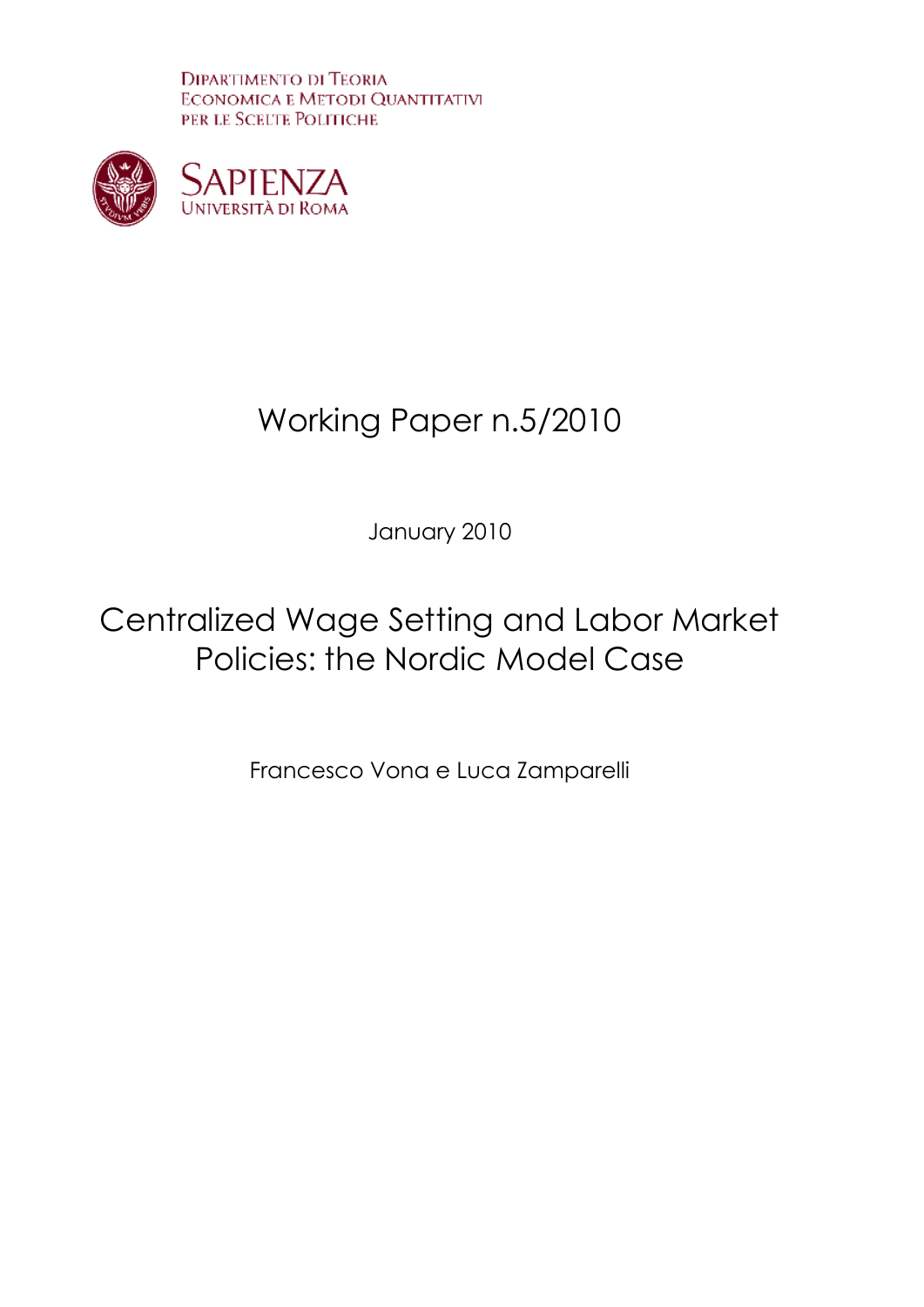**DIPARTIMENTO DI TEORIA ECONOMICA E METODI QUANTITATIVI** PER LE SCELTE POLITICHE



# Working Paper n.5/2010

January 2010

# Centralized Wage Setting and Labor Market Policies: the Nordic Model Case

Francesco Vona e Luca Zamparelli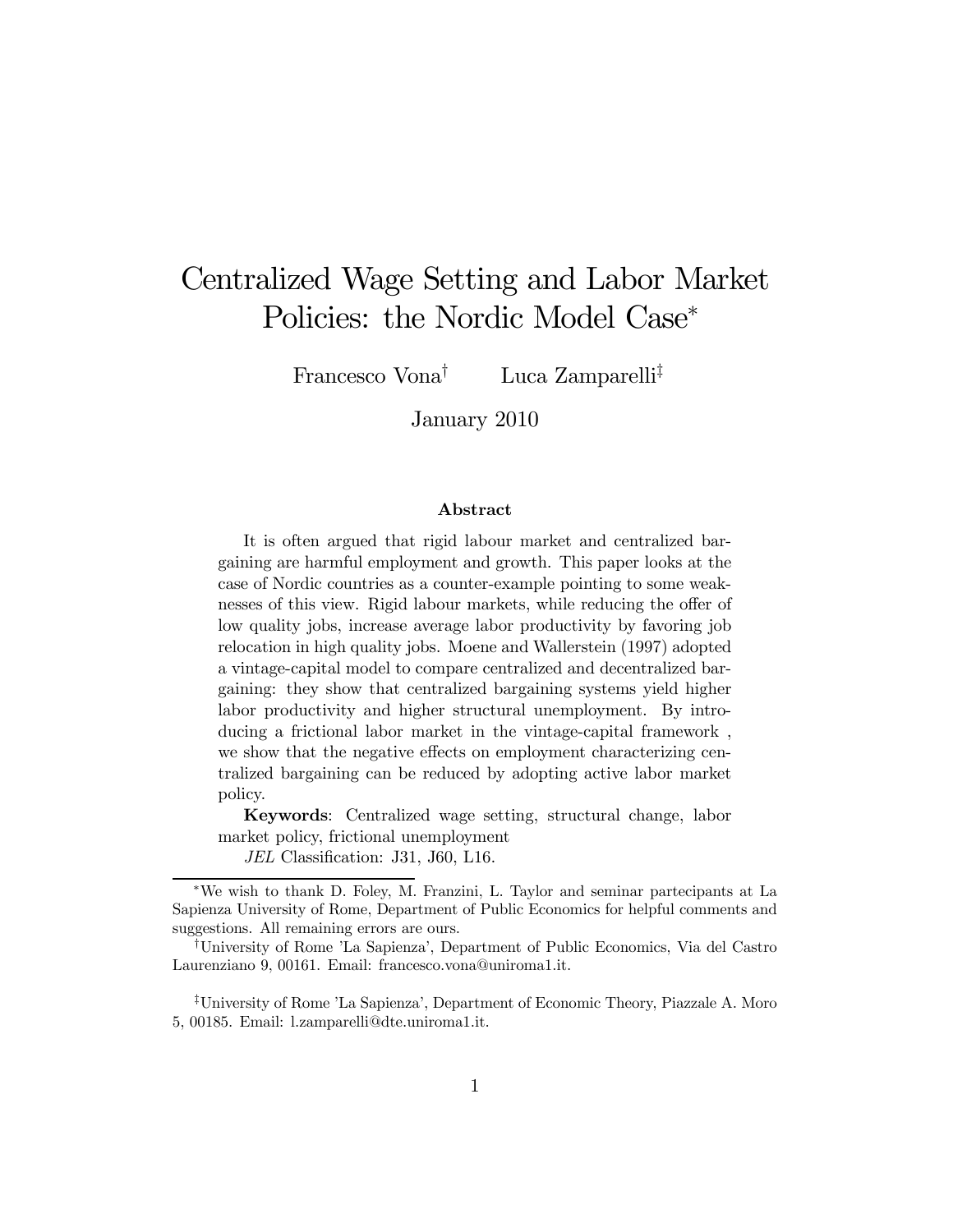## Centralized Wage Setting and Labor Market Policies: the Nordic Model Case<sup>∗</sup>

Francesco Vona<sup>†</sup> Luca Zamparelli<sup>‡</sup>

January 2010

#### Abstract

It is often argued that rigid labour market and centralized bargaining are harmful employment and growth. This paper looks at the case of Nordic countries as a counter-example pointing to some weaknesses of this view. Rigid labour markets, while reducing the offer of low quality jobs, increase average labor productivity by favoring job relocation in high quality jobs. Moene and Wallerstein (1997) adopted a vintage-capital model to compare centralized and decentralized bargaining: they show that centralized bargaining systems yield higher labor productivity and higher structural unemployment. By introducing a frictional labor market in the vintage-capital framework , we show that the negative effects on employment characterizing centralized bargaining can be reduced by adopting active labor market policy.

Keywords: Centralized wage setting, structural change, labor market policy, frictional unemployment

JEL Classification: J31, J60, L16.

‡University of Rome 'La Sapienza', Department of Economic Theory, Piazzale A. Moro 5, 00185. Email: l.zamparelli@dte.uniroma1.it.

<sup>∗</sup>We wish to thank D. Foley, M. Franzini, L. Taylor and seminar partecipants at La Sapienza University of Rome, Department of Public Economics for helpful comments and suggestions. All remaining errors are ours.

<sup>†</sup>University of Rome 'La Sapienza', Department of Public Economics, Via del Castro Laurenziano 9, 00161. Email: francesco.vona@uniroma1.it.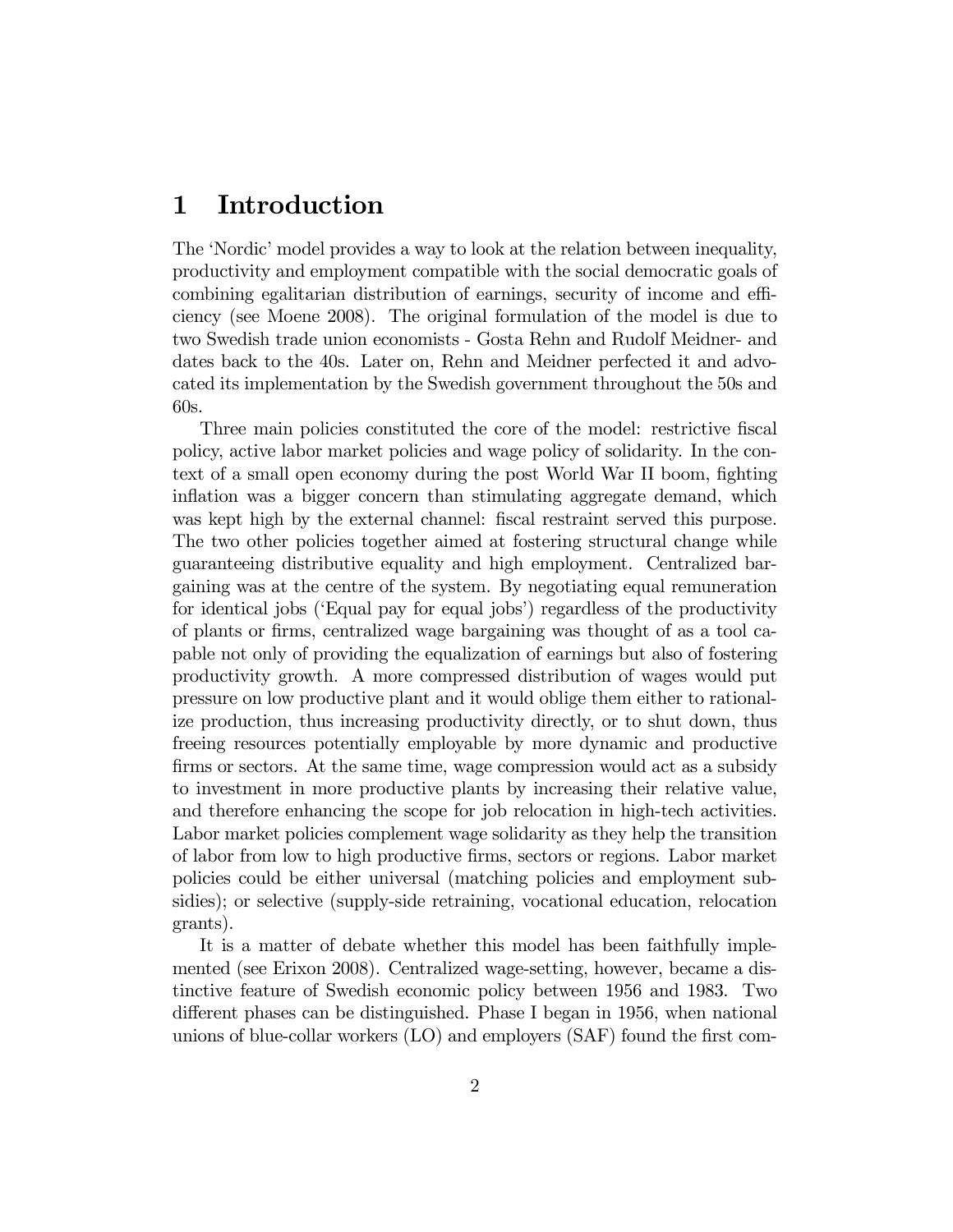## 1 Introduction

The 'Nordic' model provides a way to look at the relation between inequality, productivity and employment compatible with the social democratic goals of combining egalitarian distribution of earnings, security of income and efficiency (see Moene 2008). The original formulation of the model is due to two Swedish trade union economists - Gosta Rehn and Rudolf Meidner- and dates back to the 40s. Later on, Rehn and Meidner perfected it and advocated its implementation by the Swedish government throughout the 50s and 60s.

Three main policies constituted the core of the model: restrictive fiscal policy, active labor market policies and wage policy of solidarity. In the context of a small open economy during the post World War II boom, fighting inflation was a bigger concern than stimulating aggregate demand, which was kept high by the external channel: fiscal restraint served this purpose. The two other policies together aimed at fostering structural change while guaranteeing distributive equality and high employment. Centralized bargaining was at the centre of the system. By negotiating equal remuneration for identical jobs ('Equal pay for equal jobs') regardless of the productivity of plants or firms, centralized wage bargaining was thought of as a tool capable not only of providing the equalization of earnings but also of fostering productivity growth. A more compressed distribution of wages would put pressure on low productive plant and it would oblige them either to rationalize production, thus increasing productivity directly, or to shut down, thus freeing resources potentially employable by more dynamic and productive firms or sectors. At the same time, wage compression would act as a subsidy to investment in more productive plants by increasing their relative value, and therefore enhancing the scope for job relocation in high-tech activities. Labor market policies complement wage solidarity as they help the transition of labor from low to high productive firms, sectors or regions. Labor market policies could be either universal (matching policies and employment subsidies); or selective (supply-side retraining, vocational education, relocation grants).

It is a matter of debate whether this model has been faithfully implemented (see Erixon 2008). Centralized wage-setting, however, became a distinctive feature of Swedish economic policy between 1956 and 1983. Two different phases can be distinguished. Phase I began in 1956, when national unions of blue-collar workers (LO) and employers (SAF) found the first com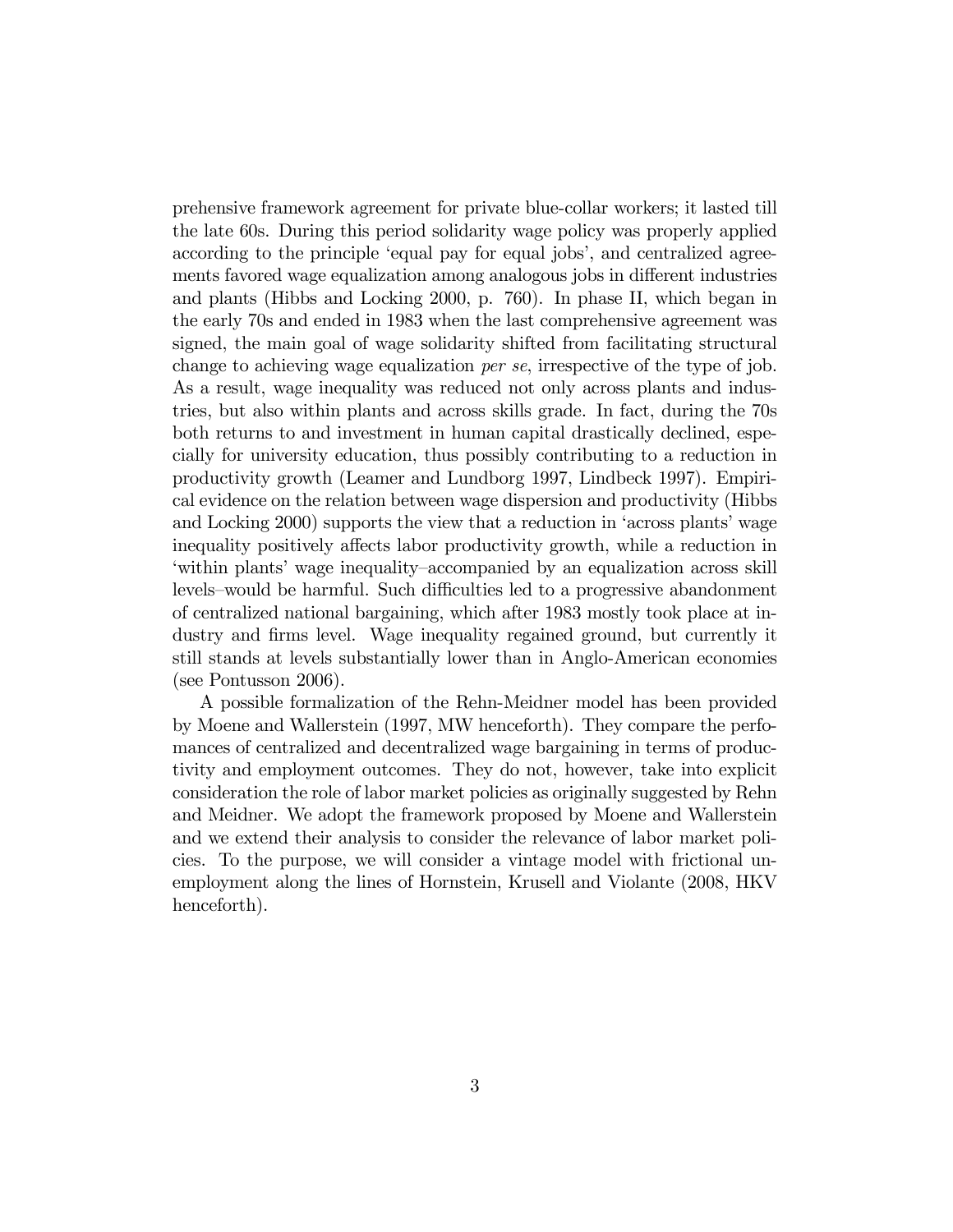prehensive framework agreement for private blue-collar workers; it lasted till the late 60s. During this period solidarity wage policy was properly applied according to the principle 'equal pay for equal jobs', and centralized agreements favored wage equalization among analogous jobs in different industries and plants (Hibbs and Locking 2000, p. 760). In phase II, which began in the early 70s and ended in 1983 when the last comprehensive agreement was signed, the main goal of wage solidarity shifted from facilitating structural change to achieving wage equalization per se, irrespective of the type of job. As a result, wage inequality was reduced not only across plants and industries, but also within plants and across skills grade. In fact, during the 70s both returns to and investment in human capital drastically declined, especially for university education, thus possibly contributing to a reduction in productivity growth (Leamer and Lundborg 1997, Lindbeck 1997). Empirical evidence on the relation between wage dispersion and productivity (Hibbs and Locking 2000) supports the view that a reduction in 'across plants' wage inequality positively affects labor productivity growth, while a reduction in 'within plants' wage inequality—accompanied by an equalization across skill levels—would be harmful. Such difficulties led to a progressive abandonment of centralized national bargaining, which after 1983 mostly took place at industry and firms level. Wage inequality regained ground, but currently it still stands at levels substantially lower than in Anglo-American economies (see Pontusson 2006).

A possible formalization of the Rehn-Meidner model has been provided by Moene and Wallerstein (1997, MW henceforth). They compare the perfomances of centralized and decentralized wage bargaining in terms of productivity and employment outcomes. They do not, however, take into explicit consideration the role of labor market policies as originally suggested by Rehn and Meidner. We adopt the framework proposed by Moene and Wallerstein and we extend their analysis to consider the relevance of labor market policies. To the purpose, we will consider a vintage model with frictional unemployment along the lines of Hornstein, Krusell and Violante (2008, HKV henceforth).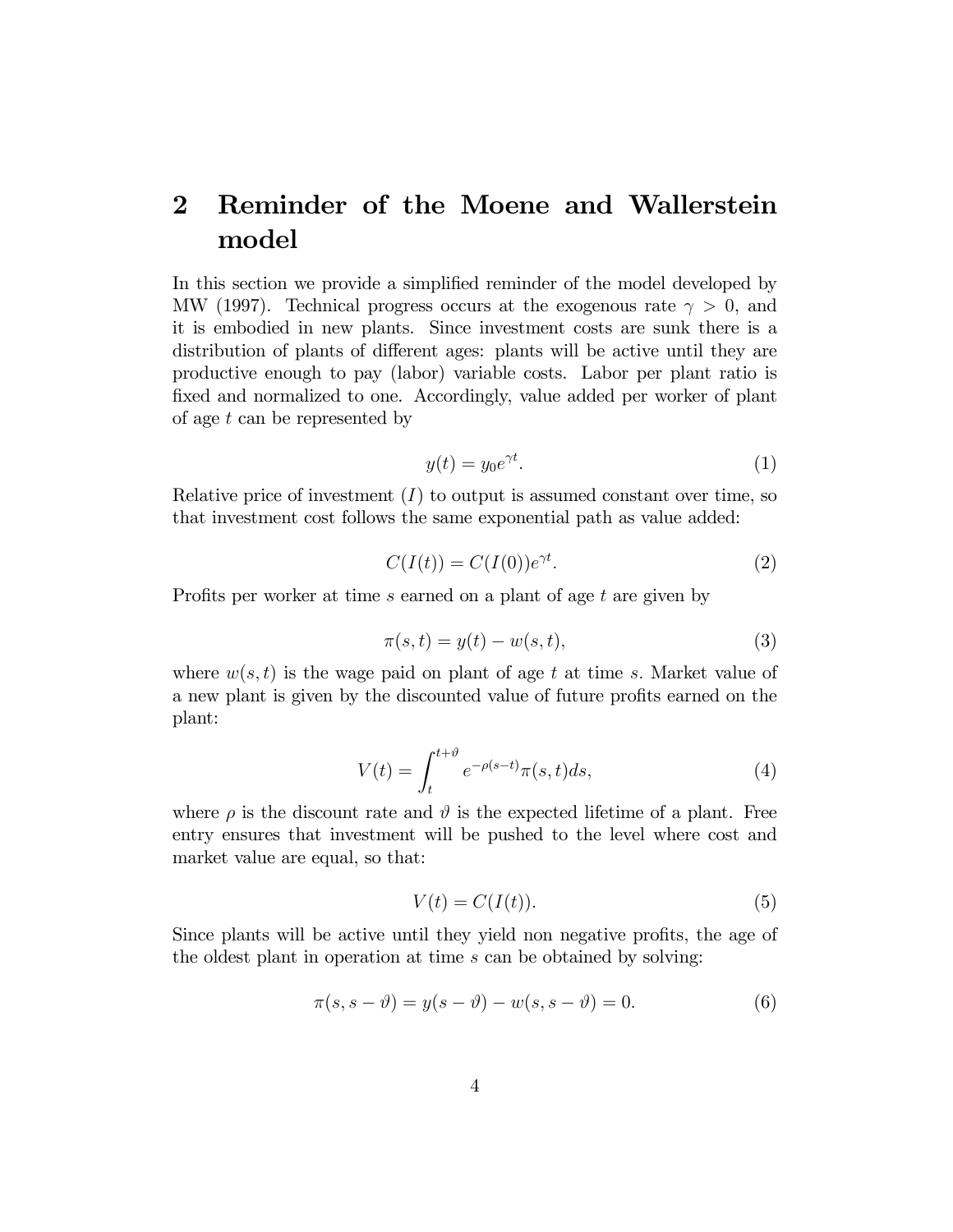## 2 Reminder of the Moene and Wallerstein model

In this section we provide a simplified reminder of the model developed by MW (1997). Technical progress occurs at the exogenous rate  $\gamma > 0$ , and it is embodied in new plants. Since investment costs are sunk there is a distribution of plants of different ages: plants will be active until they are productive enough to pay (labor) variable costs. Labor per plant ratio is fixed and normalized to one. Accordingly, value added per worker of plant of age  $t$  can be represented by

$$
y(t) = y_0 e^{\gamma t}.\tag{1}
$$

Relative price of investment  $(I)$  to output is assumed constant over time, so that investment cost follows the same exponential path as value added:

$$
C(I(t)) = C(I(0))e^{\gamma t}.
$$
\n<sup>(2)</sup>

Profits per worker at time s earned on a plant of age t are given by

$$
\pi(s,t) = y(t) - w(s,t),\tag{3}
$$

where  $w(s, t)$  is the wage paid on plant of age t at time s. Market value of a new plant is given by the discounted value of future profits earned on the plant:

$$
V(t) = \int_{t}^{t+\vartheta} e^{-\rho(s-t)} \pi(s, t) ds,
$$
\n(4)

where  $\rho$  is the discount rate and  $\vartheta$  is the expected lifetime of a plant. Free entry ensures that investment will be pushed to the level where cost and market value are equal, so that:

$$
V(t) = C(I(t)).\tag{5}
$$

Since plants will be active until they yield non negative profits, the age of the oldest plant in operation at time s can be obtained by solving:

$$
\pi(s, s - \vartheta) = y(s - \vartheta) - w(s, s - \vartheta) = 0.
$$
\n(6)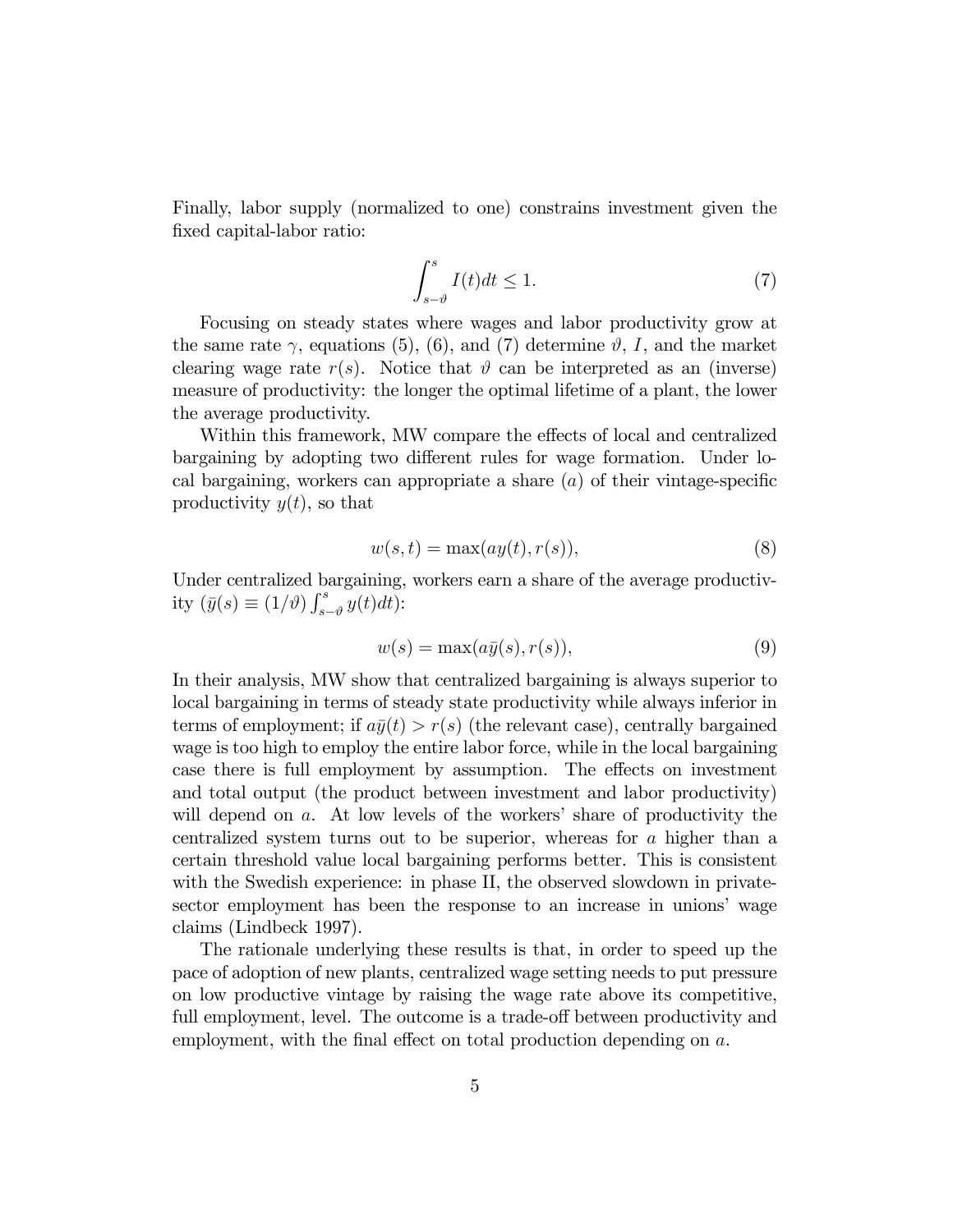Finally, labor supply (normalized to one) constrains investment given the fixed capital-labor ratio:

$$
\int_{s-\vartheta}^{s} I(t)dt \le 1.
$$
 (7)

Focusing on steady states where wages and labor productivity grow at the same rate  $\gamma$ , equations (5), (6), and (7) determine  $\vartheta$ , I, and the market clearing wage rate  $r(s)$ . Notice that  $\vartheta$  can be interpreted as an (inverse) measure of productivity: the longer the optimal lifetime of a plant, the lower the average productivity.

Within this framework, MW compare the effects of local and centralized bargaining by adopting two different rules for wage formation. Under local bargaining, workers can appropriate a share  $(a)$  of their vintage-specific productivity  $y(t)$ , so that

$$
w(s,t) = \max(ay(t),r(s)),\tag{8}
$$

Under centralized bargaining, workers earn a share of the average productivity  $(\bar{y}(s) \equiv (1/\vartheta) \int_{s}^{s}$  $\int_{s-\vartheta}^{s} y(t) dt$ :

$$
w(s) = \max(a\bar{y}(s), r(s)),\tag{9}
$$

In their analysis, MW show that centralized bargaining is always superior to local bargaining in terms of steady state productivity while always inferior in terms of employment; if  $a\bar{y}(t) > r(s)$  (the relevant case), centrally bargained wage is too high to employ the entire labor force, while in the local bargaining case there is full employment by assumption. The effects on investment and total output (the product between investment and labor productivity) will depend on a. At low levels of the workers' share of productivity the centralized system turns out to be superior, whereas for a higher than a certain threshold value local bargaining performs better. This is consistent with the Swedish experience: in phase II, the observed slowdown in privatesector employment has been the response to an increase in unions' wage claims (Lindbeck 1997).

The rationale underlying these results is that, in order to speed up the pace of adoption of new plants, centralized wage setting needs to put pressure on low productive vintage by raising the wage rate above its competitive, full employment, level. The outcome is a trade-off between productivity and employment, with the final effect on total production depending on a.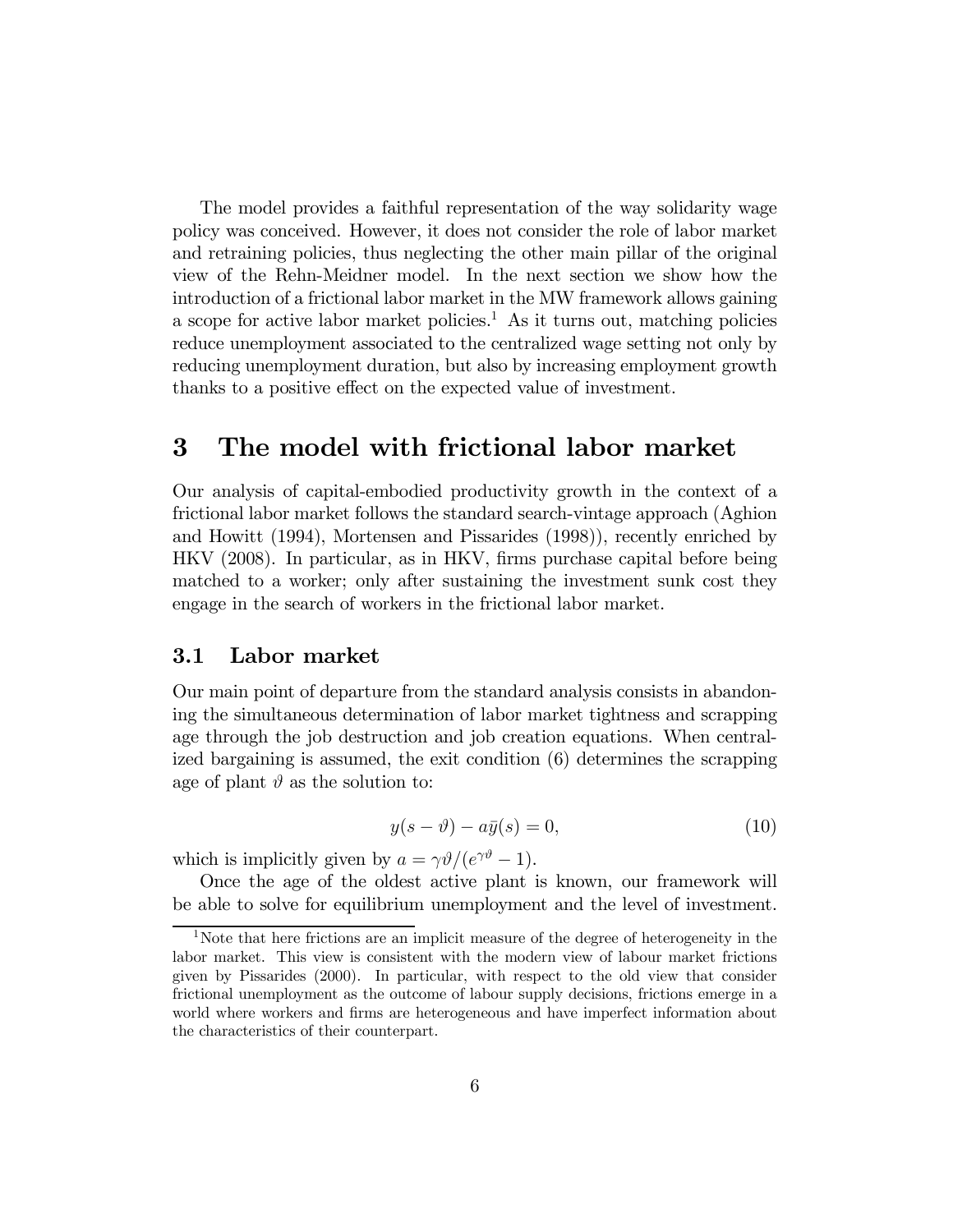The model provides a faithful representation of the way solidarity wage policy was conceived. However, it does not consider the role of labor market and retraining policies, thus neglecting the other main pillar of the original view of the Rehn-Meidner model. In the next section we show how the introduction of a frictional labor market in the MW framework allows gaining a scope for active labor market policies.<sup>1</sup> As it turns out, matching policies reduce unemployment associated to the centralized wage setting not only by reducing unemployment duration, but also by increasing employment growth thanks to a positive effect on the expected value of investment.

## 3 The model with frictional labor market

Our analysis of capital-embodied productivity growth in the context of a frictional labor market follows the standard search-vintage approach (Aghion and Howitt (1994), Mortensen and Pissarides (1998)), recently enriched by HKV (2008). In particular, as in HKV, firms purchase capital before being matched to a worker; only after sustaining the investment sunk cost they engage in the search of workers in the frictional labor market.

#### 3.1 Labor market

Our main point of departure from the standard analysis consists in abandoning the simultaneous determination of labor market tightness and scrapping age through the job destruction and job creation equations. When centralized bargaining is assumed, the exit condition (6) determines the scrapping age of plant  $\vartheta$  as the solution to:

$$
y(s - \vartheta) - a\bar{y}(s) = 0,\tag{10}
$$

which is implicitly given by  $a = \gamma \vartheta / (e^{\gamma \vartheta} - 1)$ .

Once the age of the oldest active plant is known, our framework will be able to solve for equilibrium unemployment and the level of investment.

<sup>1</sup>Note that here frictions are an implicit measure of the degree of heterogeneity in the labor market. This view is consistent with the modern view of labour market frictions given by Pissarides (2000). In particular, with respect to the old view that consider frictional unemployment as the outcome of labour supply decisions, frictions emerge in a world where workers and firms are heterogeneous and have imperfect information about the characteristics of their counterpart.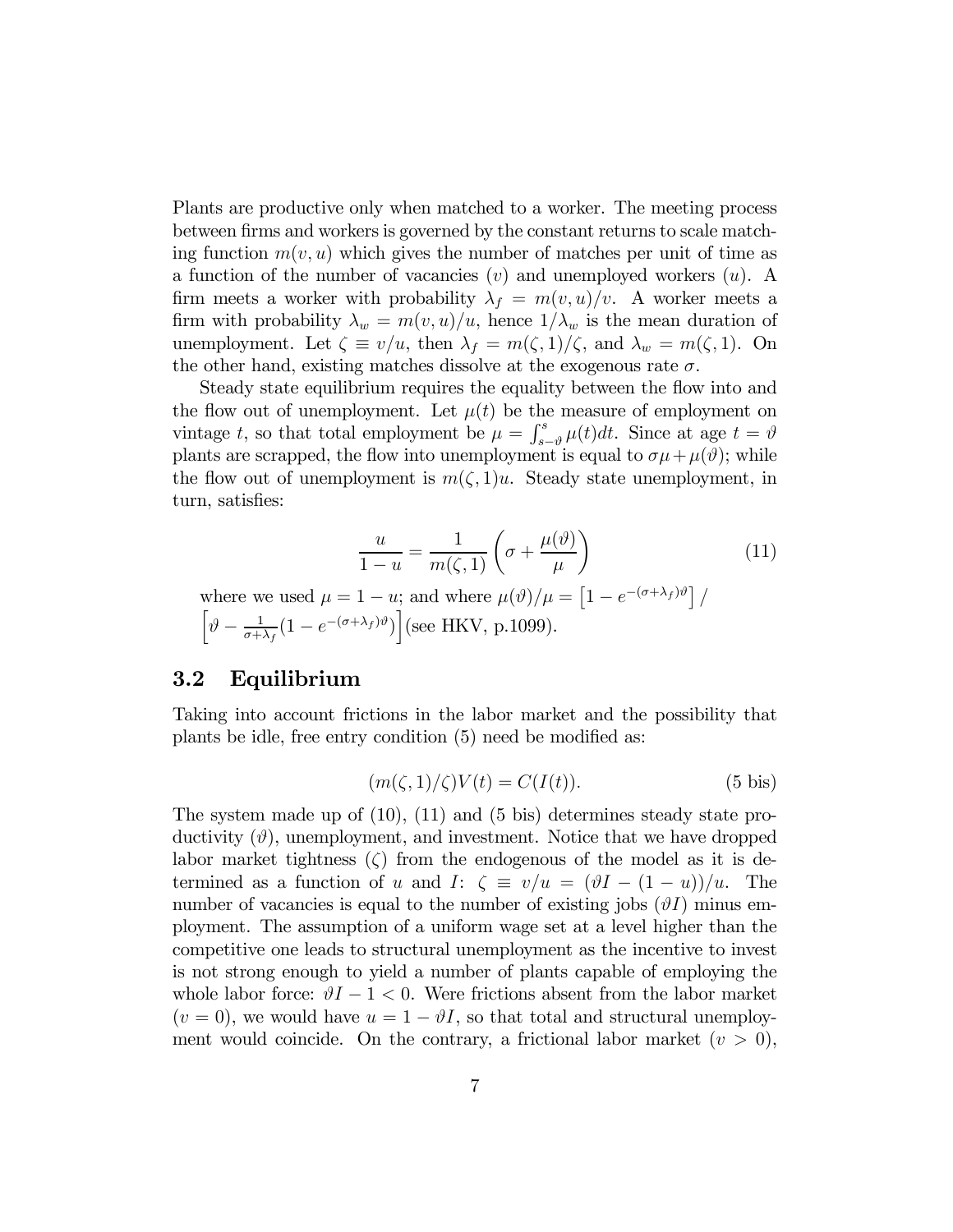Plants are productive only when matched to a worker. The meeting process between firms and workers is governed by the constant returns to scale matching function  $m(v, u)$  which gives the number of matches per unit of time as a function of the number of vacancies  $(v)$  and unemployed workers  $(u)$ . A firm meets a worker with probability  $\lambda_f = m(v, u)/v$ . A worker meets a firm with probability  $\lambda_w = m(v, u)/u$ , hence  $1/\lambda_w$  is the mean duration of unemployment. Let  $\zeta \equiv v/u$ , then  $\lambda_f = m(\zeta, 1)/\zeta$ , and  $\lambda_w = m(\zeta, 1)$ . On the other hand, existing matches dissolve at the exogenous rate  $\sigma$ .

Steady state equilibrium requires the equality between the flow into and the flow out of unemployment. Let  $\mu(t)$  be the measure of employment on vintage t, so that total employment be  $\mu = \int_{s}^{s}$  $\int_{s-\vartheta}^{s} \mu(t) dt$ . Since at age  $t = \vartheta$ plants are scrapped, the flow into unemployment is equal to  $\sigma\mu + \mu(\vartheta)$ ; while the flow out of unemployment is  $m(\zeta, 1)u$ . Steady state unemployment, in turn, satisfies:

$$
\frac{u}{1-u} = \frac{1}{m(\zeta,1)} \left( \sigma + \frac{\mu(\vartheta)}{\mu} \right) \tag{11}
$$

where we used  $\mu = 1 - u$ ; and where  $\mu(\vartheta)/\mu = \left[1 - e^{-(\sigma + \lambda_f)\vartheta}\right]/$  $\left[\vartheta-\frac{1}{\sigma+}\right]$  $\frac{1}{\sigma + \lambda_f} (1 - e^{-(\sigma + \lambda_f)\vartheta})$  (see HKV, p.1099).

#### 3.2 Equilibrium

Taking into account frictions in the labor market and the possibility that plants be idle, free entry condition (5) need be modified as:

$$
(m(\zeta, 1)/\zeta)V(t) = C(I(t)).
$$
\n(5 bis)

The system made up of (10), (11) and (5 bis) determines steady state productivity  $(\vartheta)$ , unemployment, and investment. Notice that we have dropped labor market tightness  $(\zeta)$  from the endogenous of the model as it is determined as a function of u and I:  $\zeta \equiv v/u = (\vartheta I - (1 - u))/u$ . The number of vacancies is equal to the number of existing jobs  $(\vartheta I)$  minus employment. The assumption of a uniform wage set at a level higher than the competitive one leads to structural unemployment as the incentive to invest is not strong enough to yield a number of plants capable of employing the whole labor force:  $\vartheta I - 1 < 0$ . Were frictions absent from the labor market  $(v = 0)$ , we would have  $u = 1 - \vartheta I$ , so that total and structural unemployment would coincide. On the contrary, a frictional labor market  $(v > 0)$ ,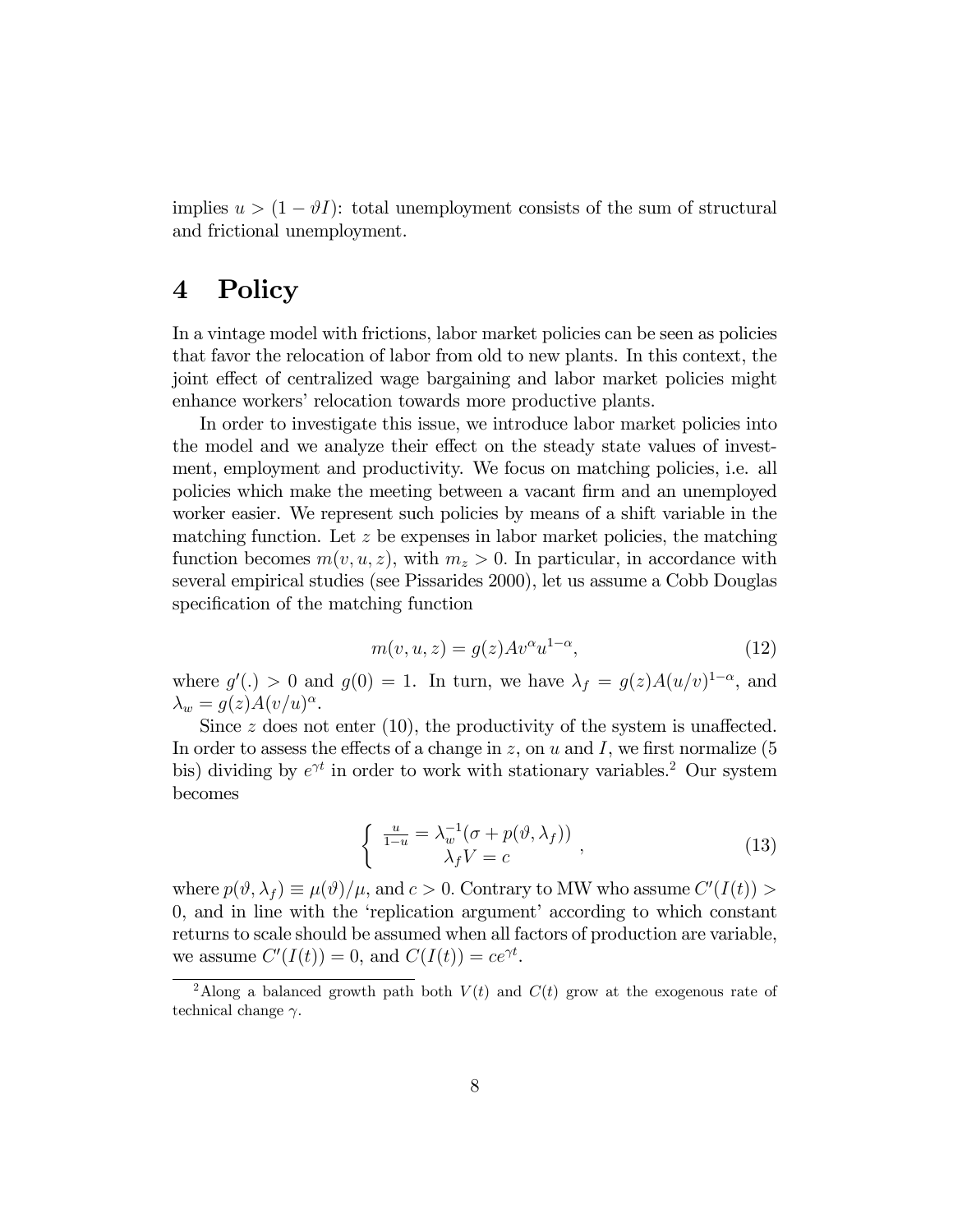implies  $u > (1 - \vartheta I)$ : total unemployment consists of the sum of structural and frictional unemployment.

## 4 Policy

In a vintage model with frictions, labor market policies can be seen as policies that favor the relocation of labor from old to new plants. In this context, the joint effect of centralized wage bargaining and labor market policies might enhance workers' relocation towards more productive plants.

In order to investigate this issue, we introduce labor market policies into the model and we analyze their effect on the steady state values of investment, employment and productivity. We focus on matching policies, i.e. all policies which make the meeting between a vacant firm and an unemployed worker easier. We represent such policies by means of a shift variable in the matching function. Let  $z$  be expenses in labor market policies, the matching function becomes  $m(v, u, z)$ , with  $m_z > 0$ . In particular, in accordance with several empirical studies (see Pissarides 2000), let us assume a Cobb Douglas specification of the matching function

$$
m(v, u, z) = g(z)Av^{\alpha}u^{1-\alpha}, \qquad (12)
$$

where  $g'(.) > 0$  and  $g(0) = 1$ . In turn, we have  $\lambda_f = g(z)A(u/v)^{1-\alpha}$ , and  $\lambda_w = g(z) A(v/u)^{\alpha}.$ 

Since  $z$  does not enter (10), the productivity of the system is unaffected. In order to assess the effects of a change in  $z$ , on  $u$  and  $I$ , we first normalize (5) bis) dividing by  $e^{\gamma t}$  in order to work with stationary variables.<sup>2</sup> Our system becomes

$$
\begin{cases} \frac{u}{1-u} = \lambda_w^{-1}(\sigma + p(\vartheta, \lambda_f)) \\ \lambda_f V = c \end{cases},
$$
\n(13)

where  $p(\vartheta, \lambda_f) \equiv \mu(\vartheta)/\mu$ , and  $c > 0$ . Contrary to MW who assume  $C'(I(t)) >$ 0, and in line with the 'replication argument' according to which constant returns to scale should be assumed when all factors of production are variable, we assume  $C'(I(t)) = 0$ , and  $C(I(t)) = ce^{\gamma t}$ .

<sup>&</sup>lt;sup>2</sup>Along a balanced growth path both  $V(t)$  and  $C(t)$  grow at the exogenous rate of technical change  $\gamma$ .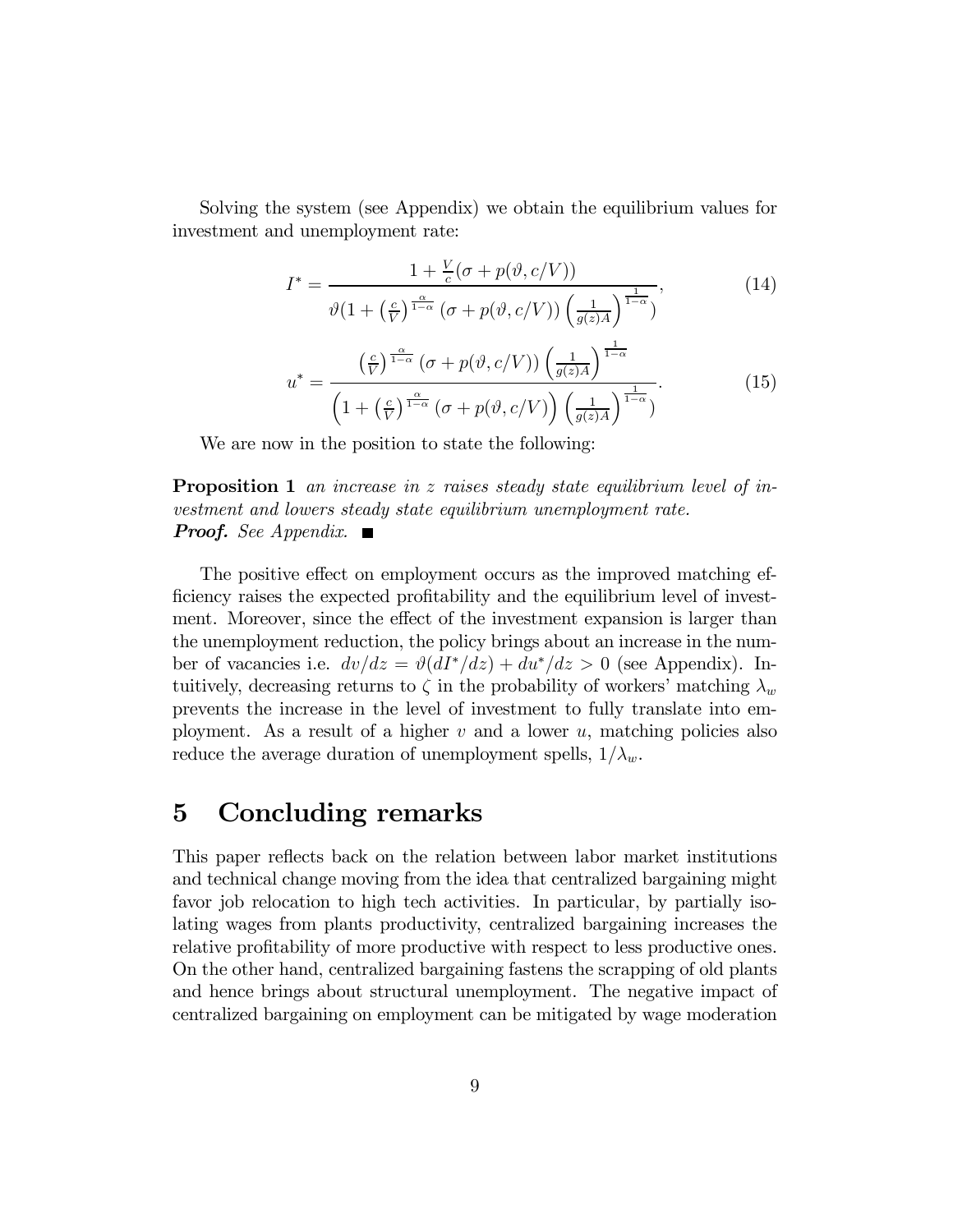Solving the system (see Appendix) we obtain the equilibrium values for investment and unemployment rate:

$$
I^* = \frac{1 + \frac{V}{c}(\sigma + p(\vartheta, c/V))}{\vartheta \left(1 + \left(\frac{c}{V}\right)^{\frac{\alpha}{1-\alpha}} (\sigma + p(\vartheta, c/V)) \left(\frac{1}{g(z)A}\right)^{\frac{1}{1-\alpha}}\right)},\tag{14}
$$

$$
u^* = \frac{\left(\frac{c}{V}\right)^{\frac{\alpha}{1-\alpha}} \left(\sigma + p(\vartheta, c/V)\right) \left(\frac{1}{g(z)A}\right)^{\frac{1}{1-\alpha}}}{\left(1 + \left(\frac{c}{V}\right)^{\frac{\alpha}{1-\alpha}} \left(\sigma + p(\vartheta, c/V)\right) \left(\frac{1}{g(z)A}\right)^{\frac{1}{1-\alpha}}\right)}.
$$
(15)

We are now in the position to state the following:

**Proposition 1** an increase in z raises steady state equilibrium level of investment and lowers steady state equilibrium unemployment rate. **Proof.** See Appendix.  $\blacksquare$ 

The positive effect on employment occurs as the improved matching efficiency raises the expected profitability and the equilibrium level of investment. Moreover, since the effect of the investment expansion is larger than the unemployment reduction, the policy brings about an increase in the number of vacancies i.e.  $dv/dz = \vartheta (dI^* / dz) + du^* / dz > 0$  (see Appendix). Intuitively, decreasing returns to  $\zeta$  in the probability of workers' matching  $\lambda_w$ prevents the increase in the level of investment to fully translate into employment. As a result of a higher  $v$  and a lower  $u$ , matching policies also reduce the average duration of unemployment spells,  $1/\lambda_w$ .

## 5 Concluding remarks

This paper reflects back on the relation between labor market institutions and technical change moving from the idea that centralized bargaining might favor job relocation to high tech activities. In particular, by partially isolating wages from plants productivity, centralized bargaining increases the relative profitability of more productive with respect to less productive ones. On the other hand, centralized bargaining fastens the scrapping of old plants and hence brings about structural unemployment. The negative impact of centralized bargaining on employment can be mitigated by wage moderation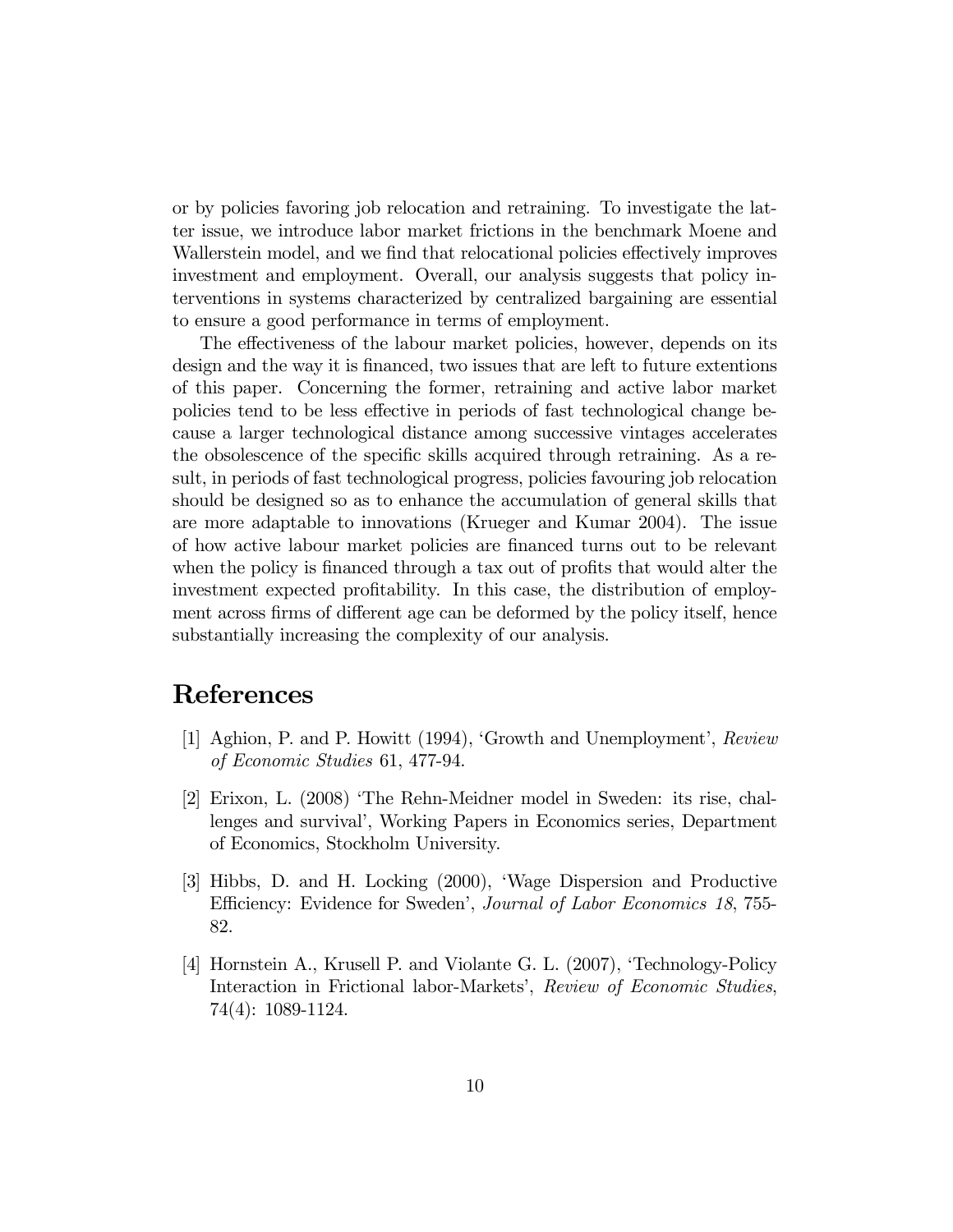or by policies favoring job relocation and retraining. To investigate the latter issue, we introduce labor market frictions in the benchmark Moene and Wallerstein model, and we find that relocational policies effectively improves investment and employment. Overall, our analysis suggests that policy interventions in systems characterized by centralized bargaining are essential to ensure a good performance in terms of employment.

The effectiveness of the labour market policies, however, depends on its design and the way it is financed, two issues that are left to future extentions of this paper. Concerning the former, retraining and active labor market policies tend to be less effective in periods of fast technological change because a larger technological distance among successive vintages accelerates the obsolescence of the specific skills acquired through retraining. As a result, in periods of fast technological progress, policies favouring job relocation should be designed so as to enhance the accumulation of general skills that are more adaptable to innovations (Krueger and Kumar 2004). The issue of how active labour market policies are financed turns out to be relevant when the policy is financed through a tax out of profits that would alter the investment expected profitability. In this case, the distribution of employment across firms of different age can be deformed by the policy itself, hence substantially increasing the complexity of our analysis.

## References

- [1] Aghion, P. and P. Howitt (1994), 'Growth and Unemployment', Review of Economic Studies 61, 477-94.
- [2] Erixon, L. (2008) 'The Rehn-Meidner model in Sweden: its rise, challenges and survival', Working Papers in Economics series, Department of Economics, Stockholm University.
- [3] Hibbs, D. and H. Locking (2000), 'Wage Dispersion and Productive Efficiency: Evidence for Sweden', Journal of Labor Economics 18, 755- 82.
- [4] Hornstein A., Krusell P. and Violante G. L. (2007), 'Technology-Policy Interaction in Frictional labor-Markets', Review of Economic Studies, 74(4): 1089-1124.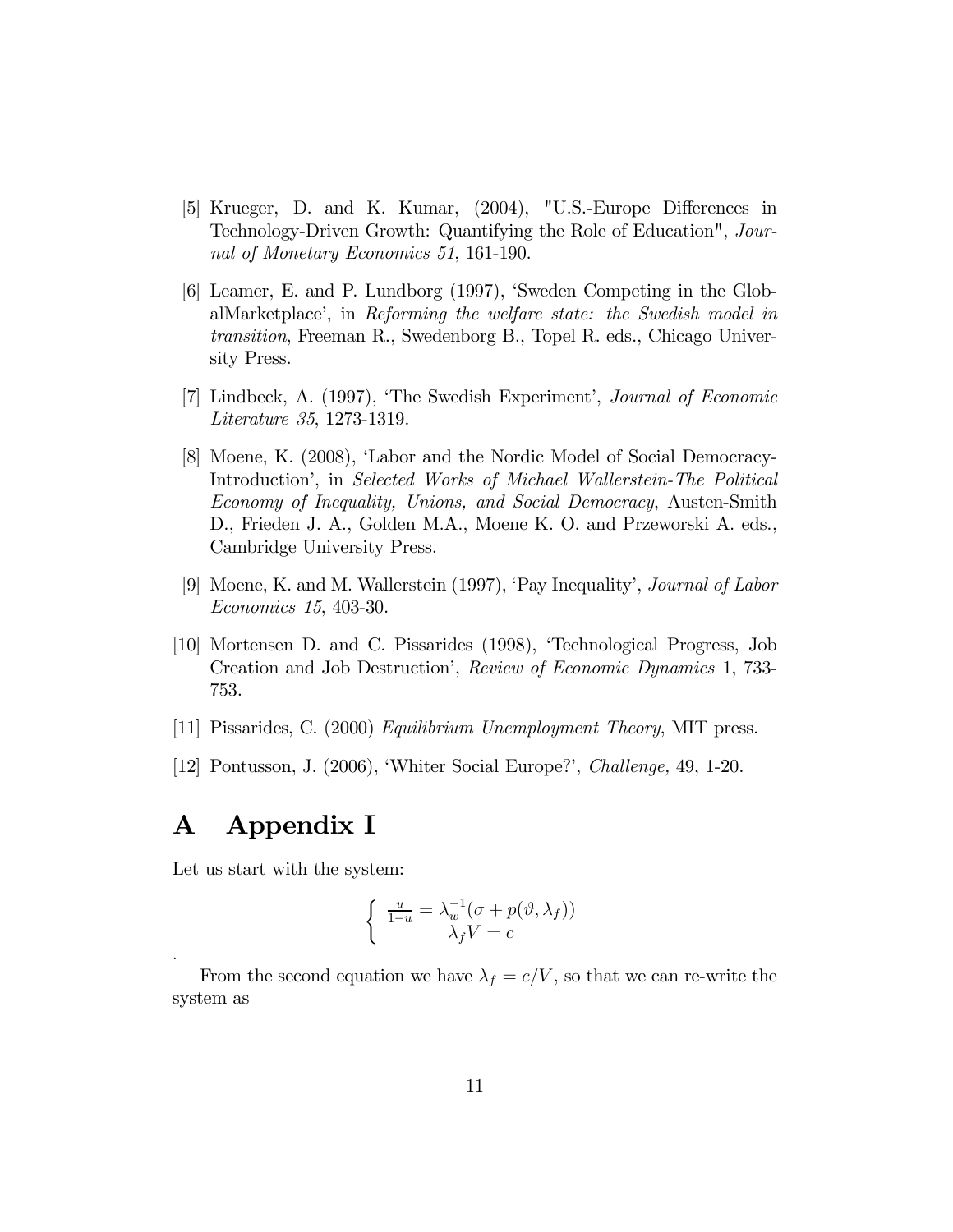- [5] Krueger, D. and K. Kumar, (2004), "U.S.-Europe Differences in Technology-Driven Growth: Quantifying the Role of Education", Journal of Monetary Economics 51, 161-190.
- [6] Leamer, E. and P. Lundborg (1997), 'Sweden Competing in the GlobalMarketplace', in Reforming the welfare state: the Swedish model in transition, Freeman R., Swedenborg B., Topel R. eds., Chicago University Press.
- [7] Lindbeck, A. (1997), 'The Swedish Experiment', Journal of Economic Literature 35, 1273-1319.
- [8] Moene, K. (2008), 'Labor and the Nordic Model of Social Democracy-Introduction', in Selected Works of Michael Wallerstein-The Political Economy of Inequality, Unions, and Social Democracy, Austen-Smith D., Frieden J. A., Golden M.A., Moene K. O. and Przeworski A. eds., Cambridge University Press.
- [9] Moene, K. and M. Wallerstein (1997), 'Pay Inequality', Journal of Labor Economics 15, 403-30.
- [10] Mortensen D. and C. Pissarides (1998), 'Technological Progress, Job Creation and Job Destruction', Review of Economic Dynamics 1, 733- 753.
- [11] Pissarides, C. (2000) Equilibrium Unemployment Theory, MIT press.
- [12] Pontusson, J. (2006), 'Whiter Social Europe?', Challenge, 49, 1-20.

## A Appendix I

.

Let us start with the system:

$$
\begin{cases} \frac{u}{1-u} = \lambda_w^{-1}(\sigma + p(\vartheta, \lambda_f)) \\ \lambda_f V = c \end{cases}
$$

From the second equation we have  $\lambda_f = c/V$ , so that we can re-write the system as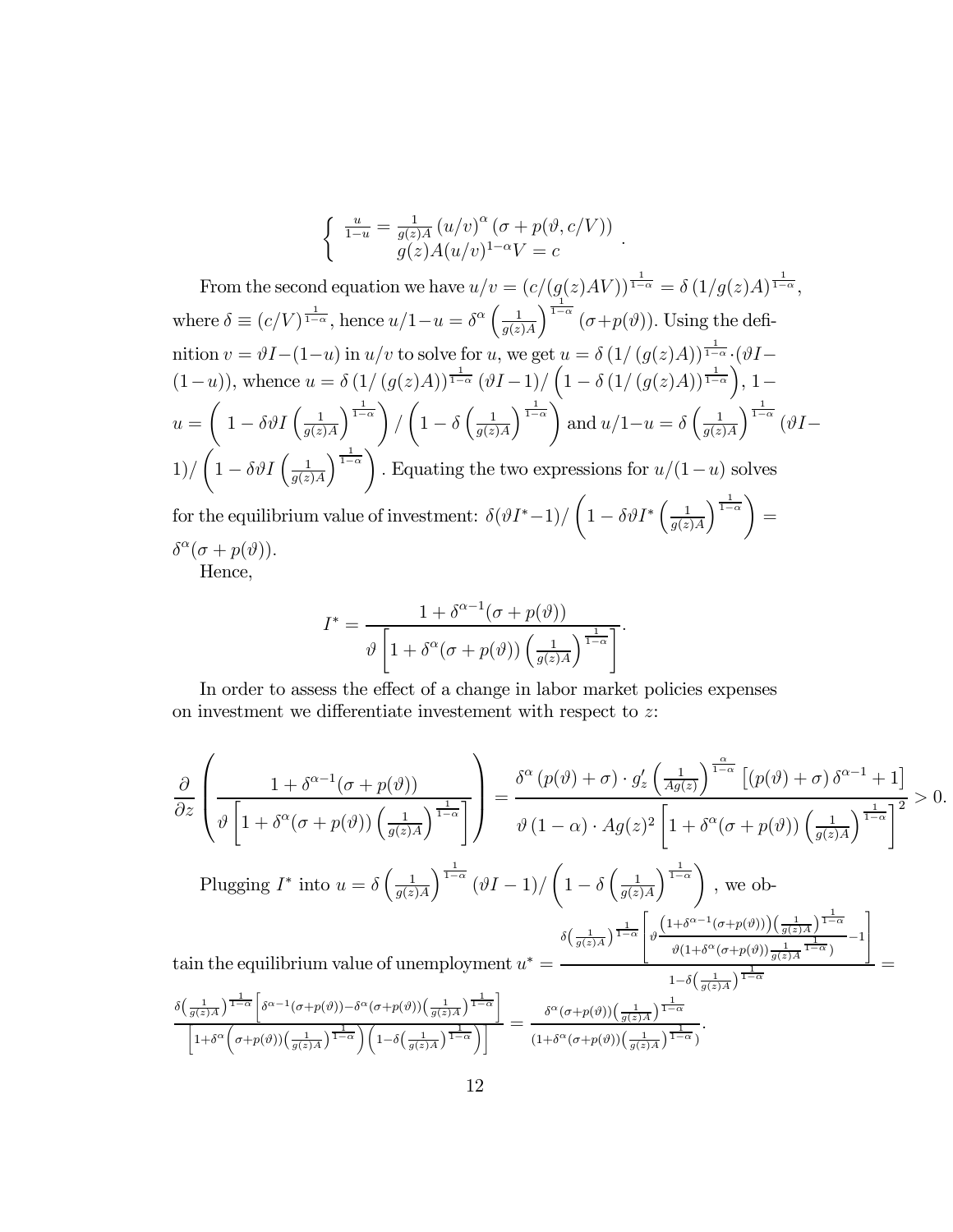$$
\begin{cases} \frac{u}{1-u} = \frac{1}{g(z)A} (u/v)^{\alpha} (\sigma + p(\vartheta, c/V)) \\ g(z)A(u/v)^{1-\alpha}V = c \end{cases}.
$$

From the second equation we have  $u/v = (c/(g(z)AV))^{\frac{1}{1-\alpha}} = \delta(1/g(z)A)^{\frac{1}{1-\alpha}}$ , where  $\delta \equiv (c/V)^{\frac{1}{1-\alpha}}$ , hence  $u/1-u = \delta^{\alpha} \left( \frac{1}{a(z)} \right)$  $g(z)A$  $\int_{1-\alpha}^{\frac{1}{1-\alpha}} (\sigma+p(\vartheta)).$  Using the definition  $v = \vartheta I - (1-u)$  in  $u/v$  to solve for u, we get  $u = \delta (1/(g(z)A))^{\frac{1}{1-\alpha}} \cdot (\vartheta I (1-u)$ , whence  $u = \delta (1/(g(z)A))^{\frac{1}{1-\alpha}} (\vartheta I-1)/(1-\delta (1/(g(z)A))^{\frac{1}{1-\alpha}})$ , 1 $u =$  $\int 1 - \delta \vartheta I \left( \frac{1}{a(z)} \right)$  $g(z)A$  $\frac{1}{1-\alpha}$ /  $\sqrt{ }$  $1-\delta\left(\frac{1}{a(z)}\right)$  $g(z)A$  $\frac{1}{1-\alpha}$ and  $u/1-u=\delta\left(\frac{1}{a(z)}\right)$  $g(z)A$  $\int^{\frac{1}{1-\alpha}} (\vartheta I 1)/$  $\int_0^1 -\delta \vartheta I \left(\frac{1}{a(z)}\right)$  $g(z)A$  $\frac{1}{1-\alpha}$ . Equating the two expressions for  $u/(1-u)$  solves for the equilibrium value of investment:  $\delta(\vartheta I^* - 1) / \left(1 - \delta \vartheta I^* \left(\frac{1}{\vartheta(\zeta)}\right)\right)$  $g(z)A$  $\frac{1}{1-\alpha}$ =  $\delta^{\alpha}(\sigma + p(\vartheta)).$ Hence,

$$
I^* = \frac{1 + \delta^{\alpha - 1}(\sigma + p(\vartheta))}{\vartheta \left[1 + \delta^{\alpha}(\sigma + p(\vartheta)) \left(\frac{1}{g(z)A}\right)^{\frac{1}{1 - \alpha}}\right]}.
$$

In order to assess the effect of a change in labor market policies expenses on investment we differentiate investement with respect to z:

$$
\frac{\partial}{\partial z}\left(\frac{1+\delta^{\alpha-1}(\sigma+p(\vartheta))}{\vartheta\left[1+\delta^{\alpha}(\sigma+p(\vartheta))\left(\frac{1}{g(z)A}\right)^{\frac{1}{1-\alpha}}}\right] = \frac{\delta^{\alpha}\left(p(\vartheta)+\sigma\right)\cdot g_{z}'\left(\frac{1}{Ag(z)}\right)^{\frac{\alpha}{1-\alpha}}\left[\left(p(\vartheta)+\sigma\right)\delta^{\alpha-1}+1\right]}{\vartheta\left(1-\alpha\right)\cdot Ag(z)^{2}\left[1+\delta^{\alpha}(\sigma+p(\vartheta))\left(\frac{1}{g(z)A}\right)^{\frac{1}{1-\alpha}}\right]^{2}} > 0.
$$
\n
$$
\text{Plugging } I^{*} \text{ into } u = \delta\left(\frac{1}{g(z)A}\right)^{\frac{1}{1-\alpha}}(\vartheta I - 1)/\left(1-\delta\left(\frac{1}{g(z)A}\right)^{\frac{1}{1-\alpha}}\right), \text{ we obtain}
$$
\n
$$
\text{tain the equilibrium value of unemptyment } u^{*} = \frac{\delta\left(\frac{1}{g(z)A}\right)^{\frac{1}{1-\alpha}\left[\vartheta\left(\frac{1+\delta^{\alpha-1}(\sigma+p(\vartheta))\right)\left(\frac{1}{g(z)A}\right)^{\frac{1}{1-\alpha}}}{\vartheta\left(1+\delta^{\alpha}(\sigma+p(\vartheta))\right)^{\frac{1}{1-\alpha}\left(\frac{1}{g(z)A}\right)^{\frac{1}{1-\alpha}}}-1\right]} = \frac{\delta\left(\frac{1}{g(z)A}\right)^{\frac{1}{1-\alpha}}}{1-\delta\left(\frac{1}{g(z)A}\right)^{\frac{1}{1-\alpha}}}\frac{\left[\frac{1}{g(z)A}\right]^{\frac{1}{1-\alpha}}}{\left[1+\delta^{\alpha}\left(\sigma+p(\vartheta)\right)\left(\frac{1}{g(z)A}\right)^{\frac{1}{1-\alpha}}\right)\left(1-\delta\left(\frac{1}{g(z)A}\right)^{\frac{1}{1-\alpha}}}\right]} = \frac{\delta^{\alpha}\left(\sigma+p(\vartheta)\right)\left(\frac{1}{g(z)A}\right)^{\frac{1}{1-\alpha}}}{\left(1+\delta^{\alpha}(\sigma+p(\vartheta))\left(\frac{1}{g(z)A}\right)^{\frac{1}{1-\alpha}}}\right)}.
$$